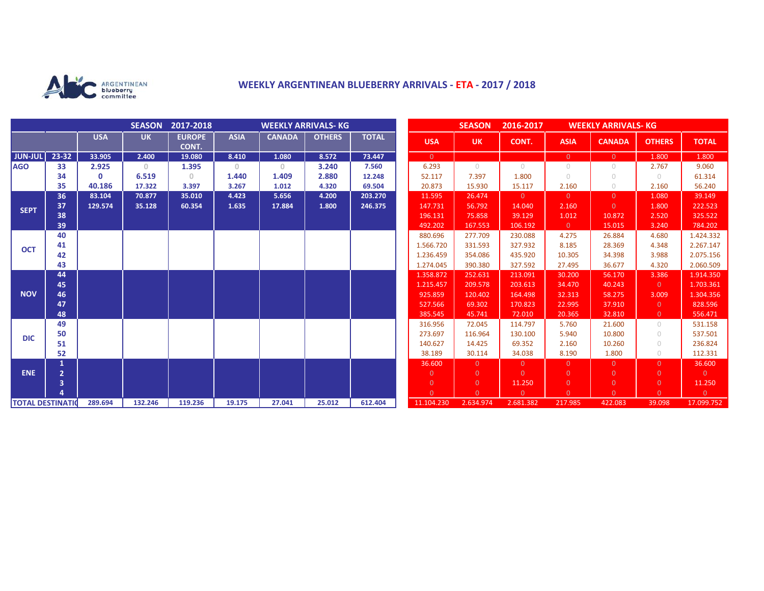

## **WEEKLY ARGENTINEAN BLUEBERRY ARRIVALS - ETA - 2017 / 2018**

|                          |                |              | <b>SEASON</b> | 2017-2018              | <b>WEEKLY ARRIVALS- KG</b>            |               |               |              |  | <b>SEASON</b><br>2016-2017<br><b>WEEKLY ARRIVALS- KG</b> |                |                |                |                |                |                |
|--------------------------|----------------|--------------|---------------|------------------------|---------------------------------------|---------------|---------------|--------------|--|----------------------------------------------------------|----------------|----------------|----------------|----------------|----------------|----------------|
|                          |                | <b>USA</b>   | <b>UK</b>     | <b>EUROPE</b><br>CONT. | <b>ASIA</b>                           | <b>CANADA</b> | <b>OTHERS</b> | <b>TOTAL</b> |  | <b>USA</b>                                               | <b>UK</b>      | CONT.          | <b>ASIA</b>    | <b>CANADA</b>  | <b>OTHERS</b>  | <b>TOTAL</b>   |
| <b>JUN-JUL</b>           | 23-32          | 33.905       | 2.400         | 19.080                 | 8.410                                 | 1.080         | 8.572         | 73.447       |  | $\overline{0}$                                           |                |                | $\overline{0}$ | $\overline{0}$ | 1.800          | 1.800          |
| <b>AGO</b>               | 33             | 2.925        | $\circ$       | 1.395                  | $\begin{array}{c} 0 \\ 0 \end{array}$ | $\circ$       | 3.240         | 7.560        |  | 6.293                                                    | $\bigcirc$     | $\bigcirc$     | $\circ$        | $\cup$         | 2.767          | 9.060          |
|                          | 34             | $\mathbf{0}$ | 6.519         | 0                      | 1.440                                 | 1.409         | 2.880         | 12.248       |  | 52.117                                                   | 7.397          | 1.800          | $\circ$        | $\cup$         | $\circ$        | 61.314         |
|                          | 35             | 40.186       | 17.322        | 3.397                  | 3.267                                 | 1.012         | 4.320         | 69.504       |  | 20.873                                                   | 15.930         | 15.117         | 2.160          | $\bigcirc$     | 2.160          | 56.240         |
| <b>SEPT</b>              | 36             | 83.104       | 70.877        | 35.010                 | 4.423                                 | 5.656         | 4.200         | 203.270      |  | 11.595                                                   | 26.474         | $\overline{0}$ | $\overline{0}$ | $\Omega$       | 1.080          | 39.149         |
|                          | 37             | 129.574      | 35.128        | 60.354                 | 1.635                                 | 17.884        | 1.800         | 246.375      |  | 147.731                                                  | 56.792         | 14.040         | 2.160          | $\Omega$       | 1.800          | 222.523        |
|                          | 38             |              |               |                        |                                       |               |               |              |  | 196.131                                                  | 75.858         | 39.129         | 1.012          | 10.872         | 2.520          | 325.522        |
|                          | 39             |              |               |                        |                                       |               |               |              |  | 492.202                                                  | 167.553        | 106.192        | $\overline{0}$ | 15.015         | 3.240          | 784.202        |
| <b>OCT</b>               | 40             |              |               |                        |                                       |               |               |              |  | 880.696                                                  | 277.709        | 230.088        | 4.275          | 26.884         | 4.680          | 1.424.332      |
|                          | 41             |              |               |                        |                                       |               |               |              |  | 1.566.720                                                | 331.593        | 327.932        | 8.185          | 28.369         | 4.348          | 2.267.147      |
|                          | 42             |              |               |                        |                                       |               |               |              |  | 1.236.459                                                | 354.086        | 435.920        | 10.305         | 34.398         | 3.988          | 2.075.156      |
|                          | 43             |              |               |                        |                                       |               |               |              |  | 1.274.045                                                | 390.380        | 327.592        | 27.495         | 36.677         | 4.320          | 2.060.509      |
| <b>NOV</b>               | 44             |              |               |                        |                                       |               |               |              |  | 1.358.872                                                | 252.631        | 213.091        | 30.200         | 56.170         | 3.386          | 1.914.350      |
|                          | 45             |              |               |                        |                                       |               |               |              |  | 1.215.457                                                | 209.578        | 203.613        | 34.470         | 40.243         | $\overline{0}$ | 1.703.361      |
|                          | 46             |              |               |                        |                                       |               |               |              |  | 925.859                                                  | 120.402        | 164.498        | 32.313         | 58.275         | 3.009          | 1.304.356      |
|                          | 47             |              |               |                        |                                       |               |               |              |  | 527.566                                                  | 69.302         | 170.823        | 22.995         | 37.910         | $\overline{0}$ | 828.596        |
|                          | 48             |              |               |                        |                                       |               |               |              |  | 385.545                                                  | 45.741         | 72.010         | 20.365         | 32.810         | $\overline{0}$ | 556.471        |
| <b>DIC</b>               | 49             |              |               |                        |                                       |               |               |              |  | 316.956                                                  | 72.045         | 114.797        | 5.760          | 21.600         | $\circ$        | 531.158        |
|                          | 50             |              |               |                        |                                       |               |               |              |  | 273.697                                                  | 116.964        | 130.100        | 5.940          | 10.800         | $\circ$        | 537.501        |
|                          | 51             |              |               |                        |                                       |               |               |              |  | 140.627                                                  | 14.425         | 69.352         | 2.160          | 10.260         | $\circ$        | 236.824        |
|                          | 52             |              |               |                        |                                       |               |               |              |  | 38.189                                                   | 30.114         | 34.038         | 8.190          | 1.800          | $\bigcirc$     | 112.331        |
|                          |                |              |               |                        |                                       |               |               |              |  | 36.600                                                   | $\overline{0}$ | $\overline{0}$ | $\overline{0}$ | $\Omega$       | $\overline{0}$ | 36.600         |
| <b>ENE</b>               | $\overline{2}$ |              |               |                        |                                       |               |               |              |  | $\overline{0}$                                           | $\overline{0}$ | $\Omega$       | $\mathbf{0}$   | $\Omega$       | $\overline{0}$ | $\overline{0}$ |
|                          | 3              |              |               |                        |                                       |               |               |              |  | $\overline{0}$                                           | $\overline{0}$ | 11.250         | $\overline{0}$ | $\overline{0}$ | $\overline{0}$ | 11.250         |
|                          |                |              |               |                        |                                       |               |               |              |  | $\Omega$                                                 | $\Omega$       | $\Omega$       | $\Omega$       | $\Omega$       | $\Omega$       | $\overline{0}$ |
| <b>TOTAL DESTINATION</b> |                | 289.694      | 132.246       | 119.236                | 19.175                                | 27.041        | 25.012        | 612.404      |  | 11.104.230                                               | 2.634.974      | 2.681.382      | 217.985        | 422.083        | 39.098         | 17.099.752     |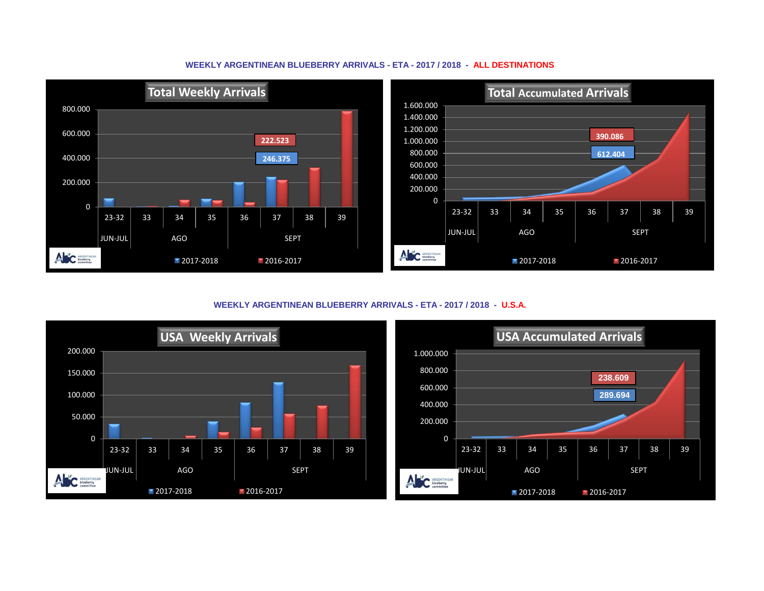



**WEEKLY ARGENTINEAN BLUEBERRY ARRIVALS - ETA - 2017 / 2018 - U.S.A.**



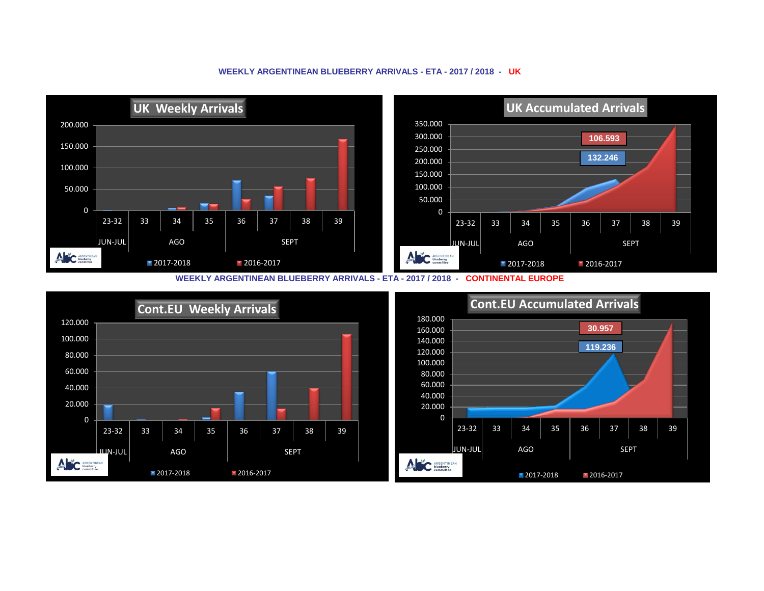## **WEEKLY ARGENTINEAN BLUEBERRY ARRIVALS - ETA - 2017 / 2018 - UK**



**WEEKLY ARGENTINEAN BLUEBERRY ARRIVALS - ETA - 2017 / 2018 - CONTINENTAL EUROPE**